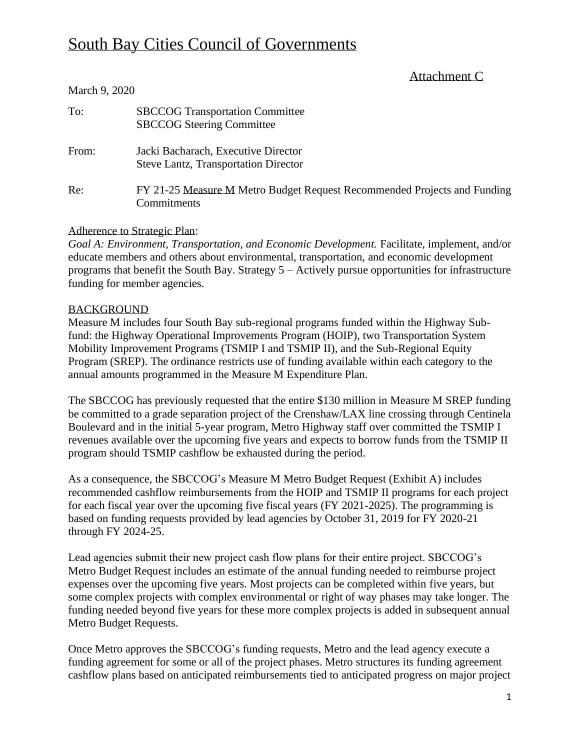# South Bay Cities Council of Governments

# Attachment C

| 11141911782020                                                                          |
|-----------------------------------------------------------------------------------------|
| <b>SBCCOG Transportation Committee</b><br><b>SBCCOG Steering Committee</b>              |
| Jacki Bacharach, Executive Director<br><b>Steve Lantz, Transportation Director</b>      |
| FY 21-25 Measure M Metro Budget Request Recommended Projects and Funding<br>Commitments |
|                                                                                         |

## Adherence to Strategic Plan:

*Goal A: Environment, Transportation, and Economic Development.* Facilitate, implement, and/or educate members and others about environmental, transportation, and economic development programs that benefit the South Bay. Strategy 5 – Actively pursue opportunities for infrastructure funding for member agencies.

## **BACKGROUND**

March 9, 2020

Measure M includes four South Bay sub-regional programs funded within the Highway Subfund: the Highway Operational Improvements Program (HOIP), two Transportation System Mobility Improvement Programs (TSMIP I and TSMIP II), and the Sub-Regional Equity Program (SREP). The ordinance restricts use of funding available within each category to the annual amounts programmed in the Measure M Expenditure Plan.

The SBCCOG has previously requested that the entire \$130 million in Measure M SREP funding be committed to a grade separation project of the Crenshaw/LAX line crossing through Centinela Boulevard and in the initial 5-year program, Metro Highway staff over committed the TSMIP I revenues available over the upcoming five years and expects to borrow funds from the TSMIP II program should TSMIP cashflow be exhausted during the period.

As a consequence, the SBCCOG's Measure M Metro Budget Request (Exhibit A) includes recommended cashflow reimbursements from the HOIP and TSMIP II programs for each project for each fiscal year over the upcoming five fiscal years (FY 2021-2025). The programming is based on funding requests provided by lead agencies by October 31, 2019 for FY 2020-21 through FY 2024-25.

Lead agencies submit their new project cash flow plans for their entire project. SBCCOG's Metro Budget Request includes an estimate of the annual funding needed to reimburse project expenses over the upcoming five years. Most projects can be completed within five years, but some complex projects with complex environmental or right of way phases may take longer. The funding needed beyond five years for these more complex projects is added in subsequent annual Metro Budget Requests.

Once Metro approves the SBCCOG's funding requests, Metro and the lead agency execute a funding agreement for some or all of the project phases. Metro structures its funding agreement cashflow plans based on anticipated reimbursements tied to anticipated progress on major project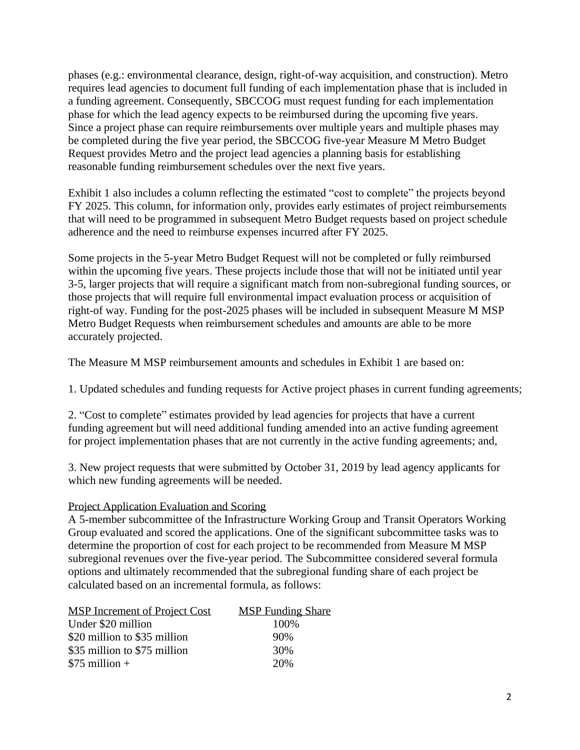phases (e.g.: environmental clearance, design, right-of-way acquisition, and construction). Metro requires lead agencies to document full funding of each implementation phase that is included in a funding agreement. Consequently, SBCCOG must request funding for each implementation phase for which the lead agency expects to be reimbursed during the upcoming five years. Since a project phase can require reimbursements over multiple years and multiple phases may be completed during the five year period, the SBCCOG five-year Measure M Metro Budget Request provides Metro and the project lead agencies a planning basis for establishing reasonable funding reimbursement schedules over the next five years.

Exhibit 1 also includes a column reflecting the estimated "cost to complete" the projects beyond FY 2025. This column, for information only, provides early estimates of project reimbursements that will need to be programmed in subsequent Metro Budget requests based on project schedule adherence and the need to reimburse expenses incurred after FY 2025.

Some projects in the 5-year Metro Budget Request will not be completed or fully reimbursed within the upcoming five years. These projects include those that will not be initiated until year 3-5, larger projects that will require a significant match from non-subregional funding sources, or those projects that will require full environmental impact evaluation process or acquisition of right-of way. Funding for the post-2025 phases will be included in subsequent Measure M MSP Metro Budget Requests when reimbursement schedules and amounts are able to be more accurately projected.

The Measure M MSP reimbursement amounts and schedules in Exhibit 1 are based on:

1. Updated schedules and funding requests for Active project phases in current funding agreements;

2. "Cost to complete" estimates provided by lead agencies for projects that have a current funding agreement but will need additional funding amended into an active funding agreement for project implementation phases that are not currently in the active funding agreements; and,

3. New project requests that were submitted by October 31, 2019 by lead agency applicants for which new funding agreements will be needed.

#### Project Application Evaluation and Scoring

A 5-member subcommittee of the Infrastructure Working Group and Transit Operators Working Group evaluated and scored the applications. One of the significant subcommittee tasks was to determine the proportion of cost for each project to be recommended from Measure M MSP subregional revenues over the five-year period. The Subcommittee considered several formula options and ultimately recommended that the subregional funding share of each project be calculated based on an incremental formula, as follows:

| <b>MSP</b> Increment of Project Cost | <b>MSP</b> Funding Share |
|--------------------------------------|--------------------------|
| Under \$20 million                   | 100\%                    |
| \$20 million to \$35 million         | 90%                      |
| \$35 million to \$75 million         | 30%                      |
| $$75$ million +                      | 20%                      |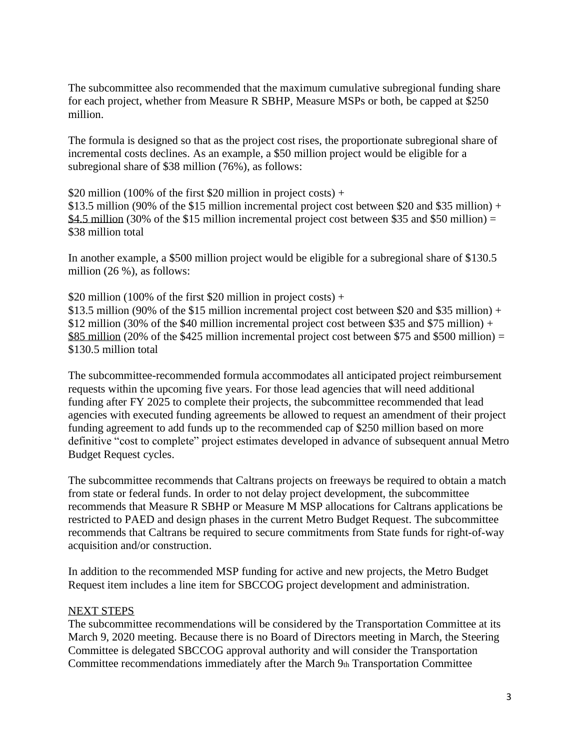The subcommittee also recommended that the maximum cumulative subregional funding share for each project, whether from Measure R SBHP, Measure MSPs or both, be capped at \$250 million.

The formula is designed so that as the project cost rises, the proportionate subregional share of incremental costs declines. As an example, a \$50 million project would be eligible for a subregional share of \$38 million (76%), as follows:

\$20 million (100% of the first \$20 million in project costs) +

\$13.5 million (90% of the \$15 million incremental project cost between \$20 and \$35 million) + \$4.5 million (30% of the \$15 million incremental project cost between \$35 and \$50 million) = \$38 million total

In another example, a \$500 million project would be eligible for a subregional share of \$130.5 million (26 %), as follows:

\$20 million (100% of the first \$20 million in project costs) +

\$13.5 million (90% of the \$15 million incremental project cost between \$20 and \$35 million) + \$12 million (30% of the \$40 million incremental project cost between \$35 and \$75 million) + \$85 million (20% of the \$425 million incremental project cost between \$75 and \$500 million) = \$130.5 million total

The subcommittee-recommended formula accommodates all anticipated project reimbursement requests within the upcoming five years. For those lead agencies that will need additional funding after FY 2025 to complete their projects, the subcommittee recommended that lead agencies with executed funding agreements be allowed to request an amendment of their project funding agreement to add funds up to the recommended cap of \$250 million based on more definitive "cost to complete" project estimates developed in advance of subsequent annual Metro Budget Request cycles.

The subcommittee recommends that Caltrans projects on freeways be required to obtain a match from state or federal funds. In order to not delay project development, the subcommittee recommends that Measure R SBHP or Measure M MSP allocations for Caltrans applications be restricted to PAED and design phases in the current Metro Budget Request. The subcommittee recommends that Caltrans be required to secure commitments from State funds for right-of-way acquisition and/or construction.

In addition to the recommended MSP funding for active and new projects, the Metro Budget Request item includes a line item for SBCCOG project development and administration.

#### NEXT STEPS

The subcommittee recommendations will be considered by the Transportation Committee at its March 9, 2020 meeting. Because there is no Board of Directors meeting in March, the Steering Committee is delegated SBCCOG approval authority and will consider the Transportation Committee recommendations immediately after the March 9th Transportation Committee